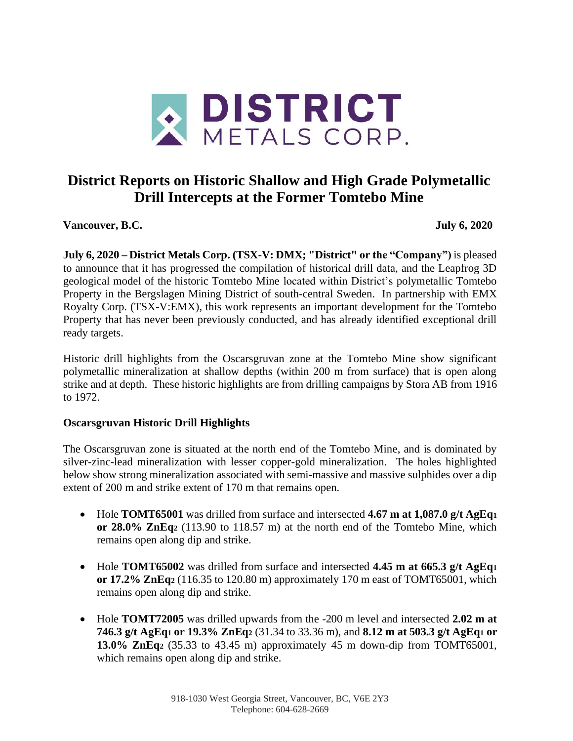

# **District Reports on Historic Shallow and High Grade Polymetallic Drill Intercepts at the Former Tomtebo Mine**

**Vancouver, B.C. July 6, 2020**

**July 6, 2020 – District Metals Corp. (TSX-V: DMX; "District" or the "Company")** is pleased to announce that it has progressed the compilation of historical drill data, and the Leapfrog 3D geological model of the historic Tomtebo Mine located within District's polymetallic Tomtebo Property in the Bergslagen Mining District of south-central Sweden. In partnership with EMX Royalty Corp. (TSX-V:EMX), this work represents an important development for the Tomtebo Property that has never been previously conducted, and has already identified exceptional drill ready targets.

Historic drill highlights from the Oscarsgruvan zone at the Tomtebo Mine show significant polymetallic mineralization at shallow depths (within 200 m from surface) that is open along strike and at depth. These historic highlights are from drilling campaigns by Stora AB from 1916 to 1972.

## **Oscarsgruvan Historic Drill Highlights**

The Oscarsgruvan zone is situated at the north end of the Tomtebo Mine, and is dominated by silver-zinc-lead mineralization with lesser copper-gold mineralization. The holes highlighted below show strong mineralization associated with semi-massive and massive sulphides over a dip extent of 200 m and strike extent of 170 m that remains open.

- Hole **TOMT65001** was drilled from surface and intersected **4.67 m at 1,087.0 g/t AgEq<sup>1</sup> or 28.0% ZnEq<sup>2</sup>** (113.90 to 118.57 m) at the north end of the Tomtebo Mine, which remains open along dip and strike.
- Hole **TOMT65002** was drilled from surface and intersected **4.45 m at 665.3 g/t AgEq<sup>1</sup> or 17.2% ZnEq<sup>2</sup>** (116.35 to 120.80 m) approximately 170 m east of TOMT65001, which remains open along dip and strike.
- Hole **TOMT72005** was drilled upwards from the -200 m level and intersected **2.02 m at 746.3 g/t AgEq<sup>1</sup> or 19.3% ZnEq<sup>2</sup>** (31.34 to 33.36 m), and **8.12 m at 503.3 g/t AgEq<sup>1</sup> or 13.0% ZnEq<sup>2</sup>** (35.33 to 43.45 m) approximately 45 m down-dip from TOMT65001, which remains open along dip and strike.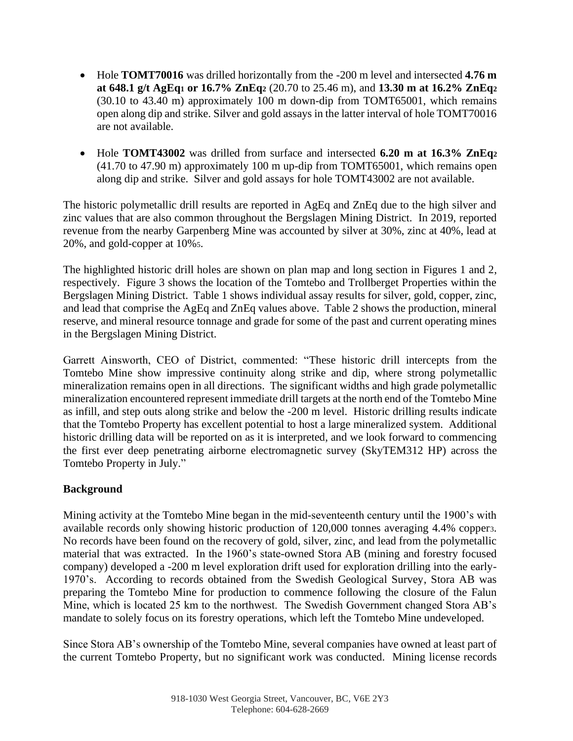- Hole **TOMT70016** was drilled horizontally from the -200 m level and intersected **4.76 m at 648.1 g/t AgEq<sup>1</sup> or 16.7% ZnEq<sup>2</sup>** (20.70 to 25.46 m), and **13.30 m at 16.2% ZnEq<sup>2</sup>** (30.10 to 43.40 m) approximately 100 m down-dip from TOMT65001, which remains open along dip and strike. Silver and gold assays in the latter interval of hole TOMT70016 are not available.
- Hole **TOMT43002** was drilled from surface and intersected **6.20 m at 16.3% ZnEq<sup>2</sup>** (41.70 to 47.90 m) approximately 100 m up-dip from TOMT65001, which remains open along dip and strike. Silver and gold assays for hole TOMT43002 are not available.

The historic polymetallic drill results are reported in AgEq and ZnEq due to the high silver and zinc values that are also common throughout the Bergslagen Mining District. In 2019, reported revenue from the nearby Garpenberg Mine was accounted by silver at 30%, zinc at 40%, lead at 20%, and gold-copper at 10%5.

The highlighted historic drill holes are shown on plan map and long section in Figures 1 and 2, respectively. Figure 3 shows the location of the Tomtebo and Trollberget Properties within the Bergslagen Mining District. Table 1 shows individual assay results for silver, gold, copper, zinc, and lead that comprise the AgEq and ZnEq values above. Table 2 shows the production, mineral reserve, and mineral resource tonnage and grade for some of the past and current operating mines in the Bergslagen Mining District.

Garrett Ainsworth, CEO of District, commented: "These historic drill intercepts from the Tomtebo Mine show impressive continuity along strike and dip, where strong polymetallic mineralization remains open in all directions. The significant widths and high grade polymetallic mineralization encountered represent immediate drill targets at the north end of the Tomtebo Mine as infill, and step outs along strike and below the -200 m level. Historic drilling results indicate that the Tomtebo Property has excellent potential to host a large mineralized system. Additional historic drilling data will be reported on as it is interpreted, and we look forward to commencing the first ever deep penetrating airborne electromagnetic survey (SkyTEM312 HP) across the Tomtebo Property in July."

## **Background**

Mining activity at the Tomtebo Mine began in the mid-seventeenth century until the 1900's with available records only showing historic production of 120,000 tonnes averaging 4.4% copper3. No records have been found on the recovery of gold, silver, zinc, and lead from the polymetallic material that was extracted. In the 1960's state-owned Stora AB (mining and forestry focused company) developed a -200 m level exploration drift used for exploration drilling into the early-1970's. According to records obtained from the Swedish Geological Survey, Stora AB was preparing the Tomtebo Mine for production to commence following the closure of the Falun Mine, which is located 25 km to the northwest. The Swedish Government changed Stora AB's mandate to solely focus on its forestry operations, which left the Tomtebo Mine undeveloped.

Since Stora AB's ownership of the Tomtebo Mine, several companies have owned at least part of the current Tomtebo Property, but no significant work was conducted. Mining license records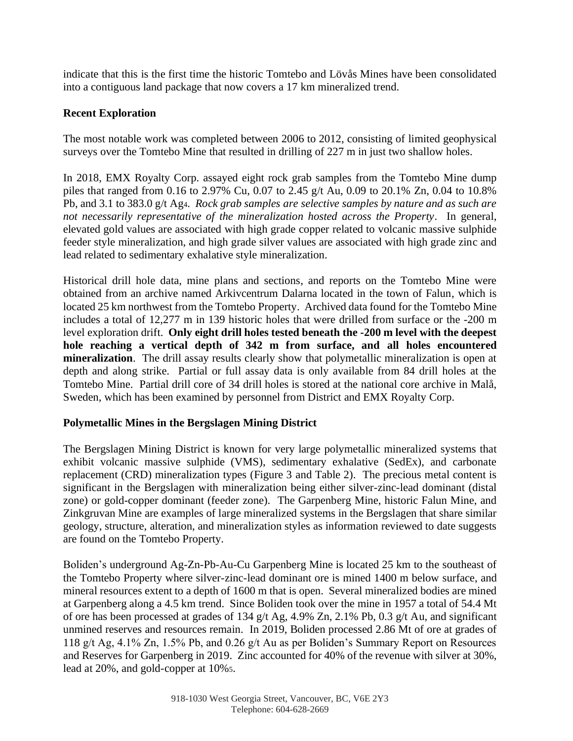indicate that this is the first time the historic Tomtebo and Lövås Mines have been consolidated into a contiguous land package that now covers a 17 km mineralized trend.

# **Recent Exploration**

The most notable work was completed between 2006 to 2012, consisting of limited geophysical surveys over the Tomtebo Mine that resulted in drilling of 227 m in just two shallow holes.

In 2018, EMX Royalty Corp. assayed eight rock grab samples from the Tomtebo Mine dump piles that ranged from 0.16 to 2.97% Cu, 0.07 to 2.45 g/t Au, 0.09 to 20.1% Zn, 0.04 to 10.8% Pb, and 3.1 to 383.0 g/t Ag4. *Rock grab samples are selective samples by nature and as such are not necessarily representative of the mineralization hosted across the Property*. In general, elevated gold values are associated with high grade copper related to volcanic massive sulphide feeder style mineralization, and high grade silver values are associated with high grade zinc and lead related to sedimentary exhalative style mineralization.

Historical drill hole data, mine plans and sections, and reports on the Tomtebo Mine were obtained from an archive named Arkivcentrum Dalarna located in the town of Falun, which is located 25 km northwest from the Tomtebo Property. Archived data found for the Tomtebo Mine includes a total of 12,277 m in 139 historic holes that were drilled from surface or the -200 m level exploration drift. **Only eight drill holes tested beneath the -200 m level with the deepest hole reaching a vertical depth of 342 m from surface, and all holes encountered mineralization**. The drill assay results clearly show that polymetallic mineralization is open at depth and along strike. Partial or full assay data is only available from 84 drill holes at the Tomtebo Mine. Partial drill core of 34 drill holes is stored at the national core archive in Malå, Sweden, which has been examined by personnel from District and EMX Royalty Corp.

## **Polymetallic Mines in the Bergslagen Mining District**

The Bergslagen Mining District is known for very large polymetallic mineralized systems that exhibit volcanic massive sulphide (VMS), sedimentary exhalative (SedEx), and carbonate replacement (CRD) mineralization types (Figure 3 and Table 2). The precious metal content is significant in the Bergslagen with mineralization being either silver-zinc-lead dominant (distal zone) or gold-copper dominant (feeder zone). The Garpenberg Mine, historic Falun Mine, and Zinkgruvan Mine are examples of large mineralized systems in the Bergslagen that share similar geology, structure, alteration, and mineralization styles as information reviewed to date suggests are found on the Tomtebo Property.

Boliden's underground Ag-Zn-Pb-Au-Cu Garpenberg Mine is located 25 km to the southeast of the Tomtebo Property where silver-zinc-lead dominant ore is mined 1400 m below surface, and mineral resources extent to a depth of 1600 m that is open. Several mineralized bodies are mined at Garpenberg along a 4.5 km trend. Since Boliden took over the mine in 1957 a total of 54.4 Mt of ore has been processed at grades of 134 g/t Ag, 4.9% Zn, 2.1% Pb, 0.3 g/t Au, and significant unmined reserves and resources remain. In 2019, Boliden processed 2.86 Mt of ore at grades of 118 g/t Ag, 4.1% Zn, 1.5% Pb, and 0.26 g/t Au as per Boliden's Summary Report on Resources and Reserves for Garpenberg in 2019. Zinc accounted for 40% of the revenue with silver at 30%, lead at 20%, and gold-copper at 10%5.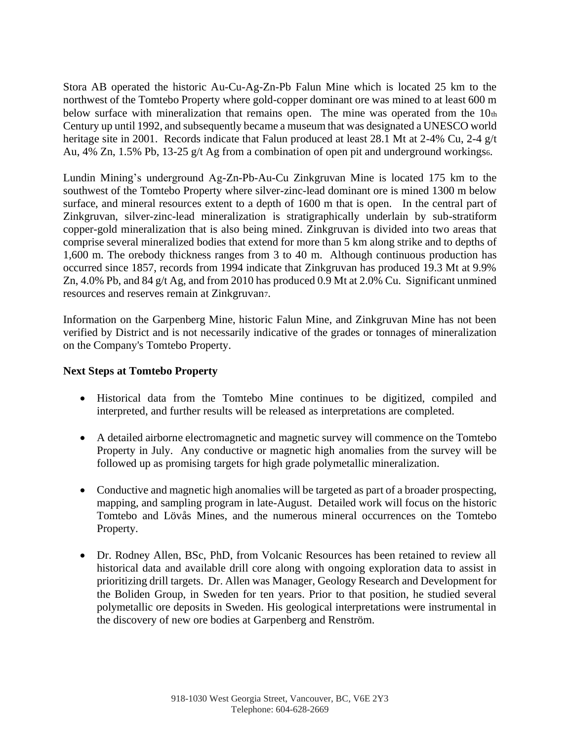Stora AB operated the historic Au-Cu-Ag-Zn-Pb Falun Mine which is located 25 km to the northwest of the Tomtebo Property where gold-copper dominant ore was mined to at least 600 m below surface with mineralization that remains open. The mine was operated from the  $10<sub>th</sub>$ Century up until 1992, and subsequently became a museum that was designated a UNESCO world heritage site in 2001. Records indicate that Falun produced at least 28.1 Mt at 2-4% Cu, 2-4 g/t Au, 4% Zn, 1.5% Pb, 13-25 g/t Ag from a combination of open pit and underground workings.

Lundin Mining's underground Ag-Zn-Pb-Au-Cu Zinkgruvan Mine is located 175 km to the southwest of the Tomtebo Property where silver-zinc-lead dominant ore is mined 1300 m below surface, and mineral resources extent to a depth of 1600 m that is open. In the central part of Zinkgruvan, silver-zinc-lead mineralization is stratigraphically underlain by sub-stratiform copper-gold mineralization that is also being mined. Zinkgruvan is divided into two areas that comprise several mineralized bodies that extend for more than 5 km along strike and to depths of 1,600 m. The orebody thickness ranges from 3 to 40 m. Although continuous production has occurred since 1857, records from 1994 indicate that Zinkgruvan has produced 19.3 Mt at 9.9% Zn, 4.0% Pb, and 84 g/t Ag, and from 2010 has produced 0.9 Mt at 2.0% Cu. Significant unmined resources and reserves remain at Zinkgruvan7.

Information on the Garpenberg Mine, historic Falun Mine, and Zinkgruvan Mine has not been verified by District and is not necessarily indicative of the grades or tonnages of mineralization on the Company's Tomtebo Property.

#### **Next Steps at Tomtebo Property**

- Historical data from the Tomtebo Mine continues to be digitized, compiled and interpreted, and further results will be released as interpretations are completed.
- A detailed airborne electromagnetic and magnetic survey will commence on the Tomtebo Property in July. Any conductive or magnetic high anomalies from the survey will be followed up as promising targets for high grade polymetallic mineralization.
- Conductive and magnetic high anomalies will be targeted as part of a broader prospecting, mapping, and sampling program in late-August. Detailed work will focus on the historic Tomtebo and Lövås Mines, and the numerous mineral occurrences on the Tomtebo Property.
- Dr. Rodney Allen, BSc, PhD, from Volcanic Resources has been retained to review all historical data and available drill core along with ongoing exploration data to assist in prioritizing drill targets. Dr. Allen was Manager, Geology Research and Development for the Boliden Group, in Sweden for ten years. Prior to that position, he studied several polymetallic ore deposits in Sweden. His geological interpretations were instrumental in the discovery of new ore bodies at Garpenberg and Renström.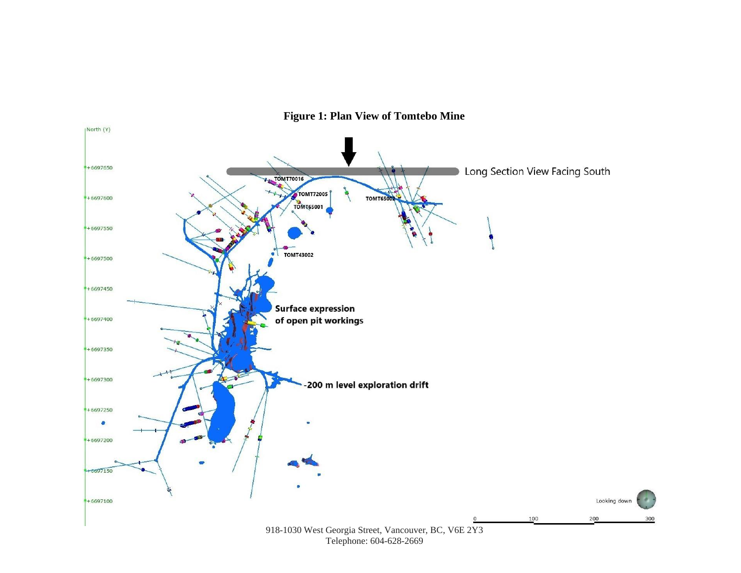

**Figure 1: Plan View of Tomtebo Mine**

Telephone: 604-628-2669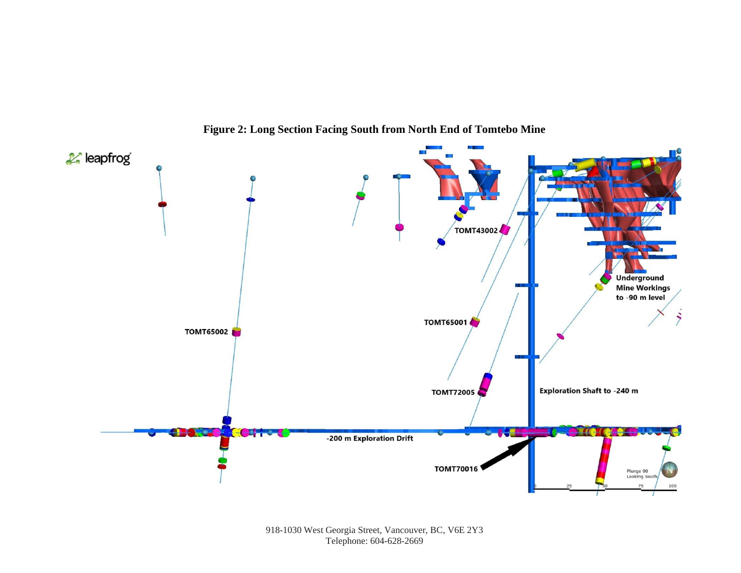

**Figure 2: Long Section Facing South from North End of Tomtebo Mine**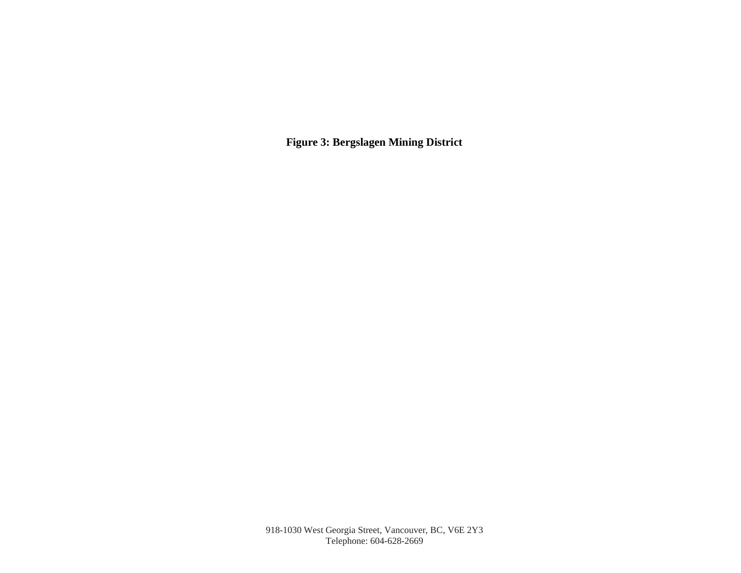**Figure 3: Bergslagen Mining District**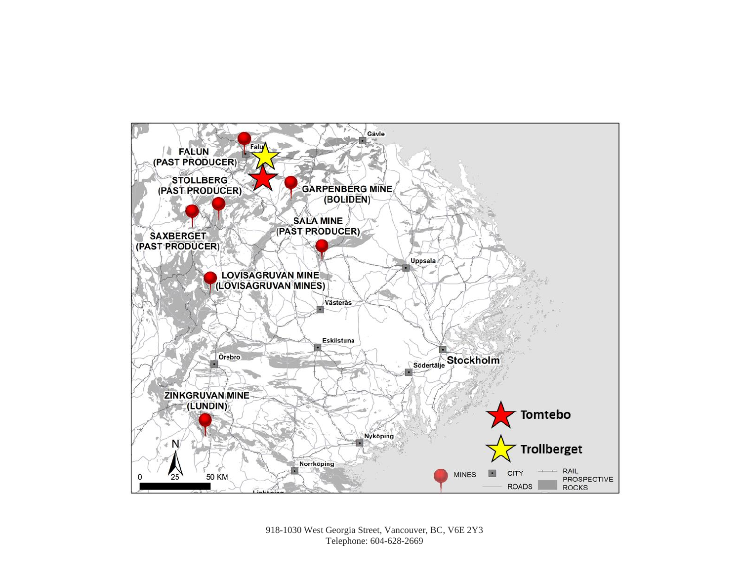

918-1030 West Georgia Street, Vancouver, BC, V6E 2Y3 Telephone: 604-628-2669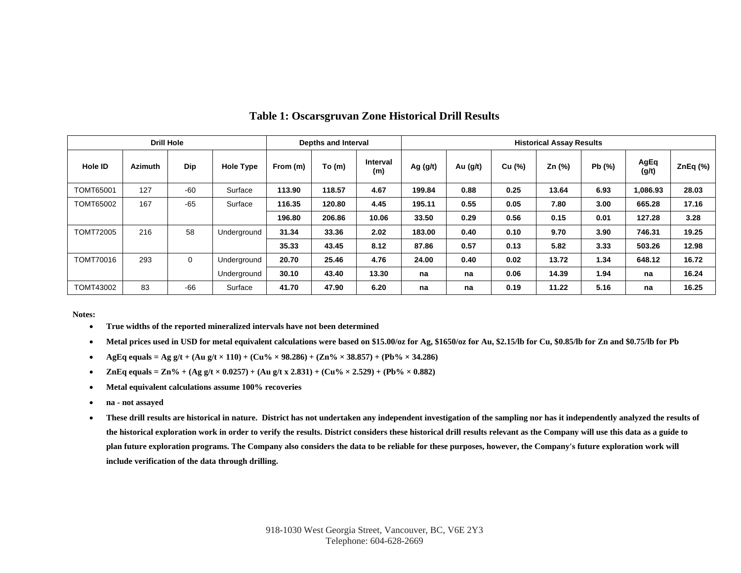| <b>Drill Hole</b> |                |       |                  | Depths and Interval |        |                 | <b>Historical Assay Results</b> |            |        |        |       |               |         |
|-------------------|----------------|-------|------------------|---------------------|--------|-----------------|---------------------------------|------------|--------|--------|-------|---------------|---------|
| <b>Hole ID</b>    | <b>Azimuth</b> | Dip   | <b>Hole Type</b> | From (m)            | To (m) | Interval<br>(m) | Ag $(g/t)$                      | Au $(g/t)$ | Cu (%) | Zn (%) | Pb(%) | AgEq<br>(g/t) | ZnEq(%) |
| <b>TOMT65001</b>  | 127            | $-60$ | Surface          | 113.90              | 118.57 | 4.67            | 199.84                          | 0.88       | 0.25   | 13.64  | 6.93  | 1,086.93      | 28.03   |
| <b>TOMT65002</b>  | 167            | $-65$ | Surface          | 116.35              | 120.80 | 4.45            | 195.11                          | 0.55       | 0.05   | 7.80   | 3.00  | 665.28        | 17.16   |
|                   |                |       |                  | 196.80              | 206.86 | 10.06           | 33.50                           | 0.29       | 0.56   | 0.15   | 0.01  | 127.28        | 3.28    |
| <b>TOMT72005</b>  | 216            | 58    | Underground      | 31.34               | 33.36  | 2.02            | 183.00                          | 0.40       | 0.10   | 9.70   | 3.90  | 746.31        | 19.25   |
|                   |                |       |                  | 35.33               | 43.45  | 8.12            | 87.86                           | 0.57       | 0.13   | 5.82   | 3.33  | 503.26        | 12.98   |
| TOMT70016         | 293            | 0     | Underground      | 20.70               | 25.46  | 4.76            | 24.00                           | 0.40       | 0.02   | 13.72  | 1.34  | 648.12        | 16.72   |
|                   |                |       | Underground      | 30.10               | 43.40  | 13.30           | na                              | na         | 0.06   | 14.39  | 1.94  | na            | 16.24   |
| TOMT43002         | 83             | $-66$ | Surface          | 41.70               | 47.90  | 6.20            | na                              | na         | 0.19   | 11.22  | 5.16  | na            | 16.25   |

#### **Table 1: Oscarsgruvan Zone Historical Drill Results**

**Notes:**

- **True widths of the reported mineralized intervals have not been determined**
- **Metal prices used in USD for metal equivalent calculations were based on \$15.00/oz for Ag, \$1650/oz for Au, \$2.15/lb for Cu, \$0.85/lb for Zn and \$0.75/lb for Pb**
- **AgEq equals = Ag g/t + (Au g/t × 110) + (Cu% × 98.286) + (Zn% × 38.857) + (Pb% × 34.286)**
- **ZnEq equals = Zn%** + (Ag g/t  $\times$  0.0257) + (Au g/t x 2.831) + (Cu%  $\times$  2.529) + (Pb%  $\times$  0.882)
- **Metal equivalent calculations assume 100% recoveries**
- **na - not assayed**
- **These drill results are historical in nature. District has not undertaken any independent investigation of the sampling nor has it independently analyzed the results of the historical exploration work in order to verify the results. District considers these historical drill results relevant as the Company will use this data as a guide to plan future exploration programs. The Company also considers the data to be reliable for these purposes, however, the Company's future exploration work will include verification of the data through drilling.**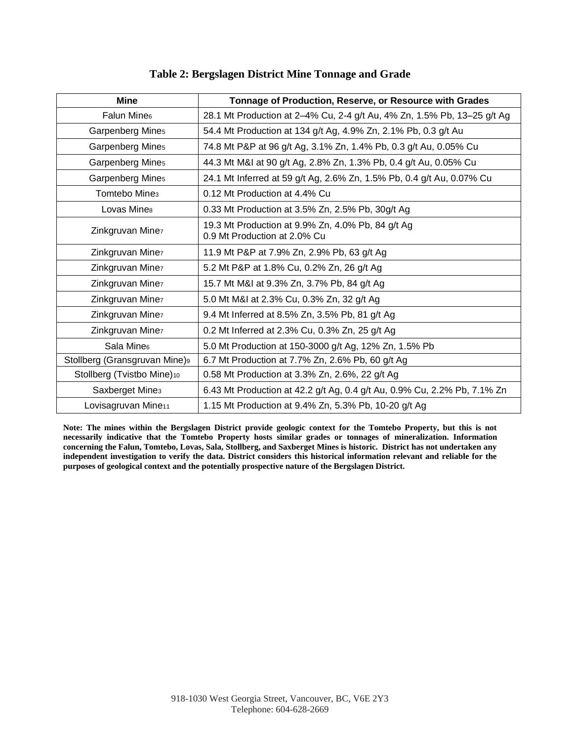| Table 2: Bergslagen District Mine Tonnage and Grade |  |  |
|-----------------------------------------------------|--|--|
|                                                     |  |  |

| <b>Mine</b>                     | Tonnage of Production, Reserve, or Resource with Grades                           |  |  |  |  |
|---------------------------------|-----------------------------------------------------------------------------------|--|--|--|--|
| Falun Mine®                     | 28.1 Mt Production at 2-4% Cu, 2-4 g/t Au, 4% Zn, 1.5% Pb, 13-25 g/t Ag           |  |  |  |  |
| Garpenberg Mines                | 54.4 Mt Production at 134 g/t Ag, 4.9% Zn, 2.1% Pb, 0.3 g/t Au                    |  |  |  |  |
| Garpenberg Mines                | 74.8 Mt P&P at 96 g/t Ag, 3.1% Zn, 1.4% Pb, 0.3 g/t Au, 0.05% Cu                  |  |  |  |  |
| Garpenberg Mines                | 44.3 Mt M&I at 90 g/t Ag, 2.8% Zn, 1.3% Pb, 0.4 g/t Au, 0.05% Cu                  |  |  |  |  |
| Garpenberg Mines                | 24.1 Mt Inferred at 59 g/t Ag, 2.6% Zn, 1.5% Pb, 0.4 g/t Au, 0.07% Cu             |  |  |  |  |
| Tomtebo Mine <sub>3</sub>       | 0.12 Mt Production at 4.4% Cu                                                     |  |  |  |  |
| Lovas Mines                     | 0.33 Mt Production at 3.5% Zn, 2.5% Pb, 30g/t Ag                                  |  |  |  |  |
| Zinkgruvan Minez                | 19.3 Mt Production at 9.9% Zn, 4.0% Pb, 84 g/t Ag<br>0.9 Mt Production at 2.0% Cu |  |  |  |  |
| Zinkgruvan Minez                | 11.9 Mt P&P at 7.9% Zn, 2.9% Pb, 63 g/t Ag                                        |  |  |  |  |
| Zinkgruvan Minez                | 5.2 Mt P&P at 1.8% Cu, 0.2% Zn, 26 g/t Ag                                         |  |  |  |  |
| Zinkgruvan Minez                | 15.7 Mt M&I at 9.3% Zn, 3.7% Pb, 84 g/t Ag                                        |  |  |  |  |
| Zinkgruvan Minez                | 5.0 Mt M&I at 2.3% Cu, 0.3% Zn, 32 g/t Ag                                         |  |  |  |  |
| Zinkgruvan Minez                | 9.4 Mt Inferred at 8.5% Zn, 3.5% Pb, 81 g/t Ag                                    |  |  |  |  |
| Zinkgruvan Minez                | 0.2 Mt Inferred at 2.3% Cu, 0.3% Zn, 25 g/t Ag                                    |  |  |  |  |
| Sala Mine <sub>6</sub>          | 5.0 Mt Production at 150-3000 g/t Ag, 12% Zn, 1.5% Pb                             |  |  |  |  |
| Stollberg (Gransgruvan Mine)9   | 6.7 Mt Production at 7.7% Zn, 2.6% Pb, 60 g/t Ag                                  |  |  |  |  |
| Stollberg (Tvistbo Mine)10      | 0.58 Mt Production at 3.3% Zn, 2.6%, 22 g/t Ag                                    |  |  |  |  |
| Saxberget Mine <sub>3</sub>     | 6.43 Mt Production at 42.2 g/t Ag, 0.4 g/t Au, 0.9% Cu, 2.2% Pb, 7.1% Zn          |  |  |  |  |
| Lovisagruvan Mine <sub>11</sub> | 1.15 Mt Production at 9.4% Zn, 5.3% Pb, 10-20 g/t Ag                              |  |  |  |  |

**Note: The mines within the Bergslagen District provide geologic context for the Tomtebo Property, but this is not necessarily indicative that the Tomtebo Property hosts similar grades or tonnages of mineralization. Information concerning the Falun, Tomtebo, Lovas, Sala, Stollberg, and Saxberget Mines is historic. District has not undertaken any independent investigation to verify the data. District considers this historical information relevant and reliable for the purposes of geological context and the potentially prospective nature of the Bergslagen District.**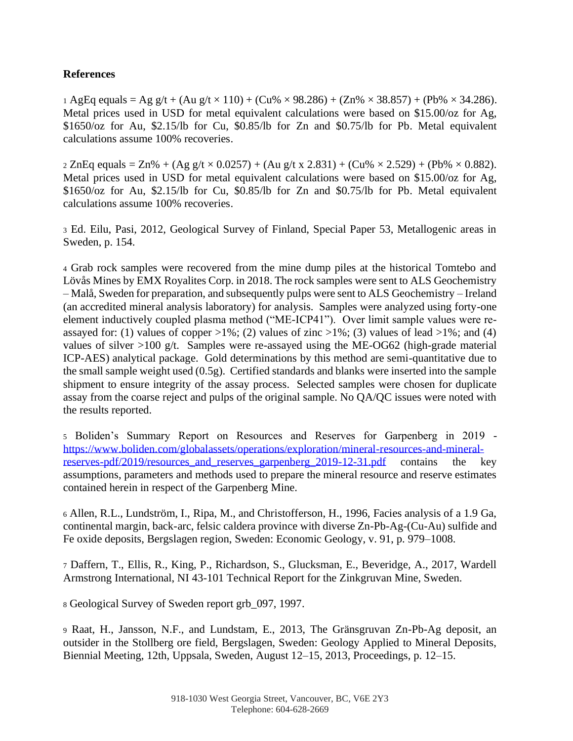#### **References**

1 AgEq equals = Ag g/t + (Au g/t  $\times$  110) + (Cu%  $\times$  98.286) + (Zn%  $\times$  38.857) + (Pb%  $\times$  34.286). Metal prices used in USD for metal equivalent calculations were based on \$15.00/oz for Ag, \$1650/oz for Au, \$2.15/lb for Cu, \$0.85/lb for Zn and \$0.75/lb for Pb. Metal equivalent calculations assume 100% recoveries.

 $2 \text{ ZnEq equals} = \text{Zn\%} + (\text{Ag g/t} \times 0.0257) + (\text{Au g/t x } 2.831) + (\text{Cu\%} \times 2.529) + (\text{Pb\%} \times 0.882).$ Metal prices used in USD for metal equivalent calculations were based on \$15.00/oz for Ag, \$1650/oz for Au, \$2.15/lb for Cu, \$0.85/lb for Zn and \$0.75/lb for Pb. Metal equivalent calculations assume 100% recoveries.

<sup>3</sup> Ed. Eilu, Pasi, 2012, Geological Survey of Finland, Special Paper 53, Metallogenic areas in Sweden, p. 154.

<sup>4</sup> Grab rock samples were recovered from the mine dump piles at the historical Tomtebo and Lövås Mines by EMX Royalites Corp. in 2018. The rock samples were sent to ALS Geochemistry – Malå, Sweden for preparation, and subsequently pulps were sent to ALS Geochemistry – Ireland (an accredited mineral analysis laboratory) for analysis. Samples were analyzed using forty-one element inductively coupled plasma method ("ME-ICP41"). Over limit sample values were reassayed for: (1) values of copper  $>1\%$ ; (2) values of zinc  $>1\%$ ; (3) values of lead  $>1\%$ ; and (4) values of silver  $>100$  g/t. Samples were re-assayed using the ME-OG62 (high-grade material ICP-AES) analytical package. Gold determinations by this method are semi-quantitative due to the small sample weight used (0.5g). Certified standards and blanks were inserted into the sample shipment to ensure integrity of the assay process. Selected samples were chosen for duplicate assay from the coarse reject and pulps of the original sample. No QA/QC issues were noted with the results reported.

<sup>5</sup> Boliden's Summary Report on Resources and Reserves for Garpenberg in 2019 [https://www.boliden.com/globalassets/operations/exploration/mineral-resources-and-mineral](https://www.boliden.com/globalassets/operations/exploration/mineral-resources-and-mineral-reserves-pdf/2019/resources_and_reserves_garpenberg_2019-12-31.pdf)reserves-pdf/2019/resources and reserves garpenberg 2019-12-31.pdf contains the key assumptions, parameters and methods used to prepare the mineral resource and reserve estimates contained herein in respect of the Garpenberg Mine.

<sup>6</sup> Allen, R.L., Lundström, I., Ripa, M., and Christofferson, H., 1996, Facies analysis of a 1.9 Ga, continental margin, back-arc, felsic caldera province with diverse Zn-Pb-Ag-(Cu-Au) sulfide and Fe oxide deposits, Bergslagen region, Sweden: Economic Geology, v. 91, p. 979–1008.

<sup>7</sup> Daffern, T., Ellis, R., King, P., Richardson, S., Glucksman, E., Beveridge, A., 2017, Wardell Armstrong International, NI 43-101 Technical Report for the Zinkgruvan Mine, Sweden.

<sup>8</sup> Geological Survey of Sweden report grb\_097, 1997.

<sup>9</sup> Raat, H., Jansson, N.F., and Lundstam, E., 2013, The Gränsgruvan Zn-Pb-Ag deposit, an outsider in the Stollberg ore field, Bergslagen, Sweden: Geology Applied to Mineral Deposits, Biennial Meeting, 12th, Uppsala, Sweden, August 12–15, 2013, Proceedings, p. 12–15.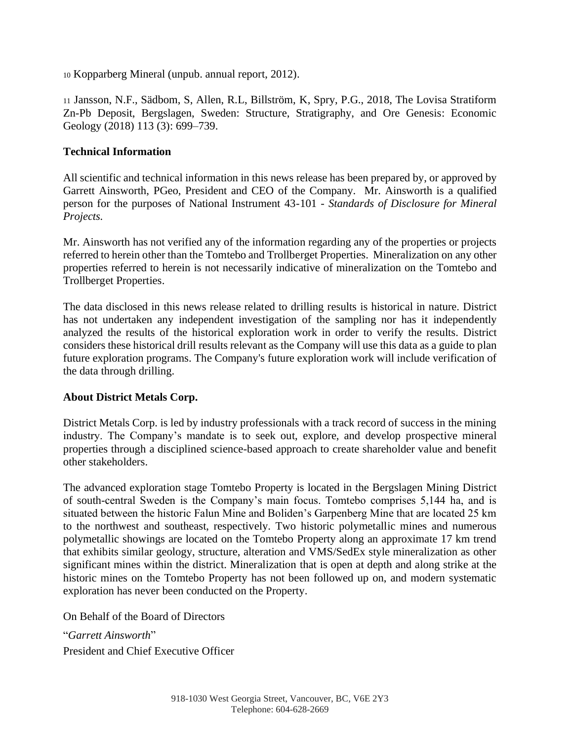<sup>10</sup> Kopparberg Mineral (unpub. annual report, 2012).

<sup>11</sup> Jansson, N.F., Sädbom, S, Allen, R.L, Billström, K, Spry, P.G., 2018, The Lovisa Stratiform Zn-Pb Deposit, Bergslagen, Sweden: Structure, Stratigraphy, and Ore Genesis: Economic Geology (2018) 113 (3): 699–739.

#### **Technical Information**

All scientific and technical information in this news release has been prepared by, or approved by Garrett Ainsworth, PGeo, President and CEO of the Company. Mr. Ainsworth is a qualified person for the purposes of National Instrument 43-101 - *Standards of Disclosure for Mineral Projects.*

Mr. Ainsworth has not verified any of the information regarding any of the properties or projects referred to herein other than the Tomtebo and Trollberget Properties. Mineralization on any other properties referred to herein is not necessarily indicative of mineralization on the Tomtebo and Trollberget Properties.

The data disclosed in this news release related to drilling results is historical in nature. District has not undertaken any independent investigation of the sampling nor has it independently analyzed the results of the historical exploration work in order to verify the results. District considers these historical drill results relevant as the Company will use this data as a guide to plan future exploration programs. The Company's future exploration work will include verification of the data through drilling.

## **About District Metals Corp.**

District Metals Corp. is led by industry professionals with a track record of success in the mining industry. The Company's mandate is to seek out, explore, and develop prospective mineral properties through a disciplined science-based approach to create shareholder value and benefit other stakeholders.

The advanced exploration stage Tomtebo Property is located in the Bergslagen Mining District of south-central Sweden is the Company's main focus. Tomtebo comprises 5,144 ha, and is situated between the historic Falun Mine and Boliden's Garpenberg Mine that are located 25 km to the northwest and southeast, respectively. Two historic polymetallic mines and numerous polymetallic showings are located on the Tomtebo Property along an approximate 17 km trend that exhibits similar geology, structure, alteration and VMS/SedEx style mineralization as other significant mines within the district. Mineralization that is open at depth and along strike at the historic mines on the Tomtebo Property has not been followed up on, and modern systematic exploration has never been conducted on the Property.

On Behalf of the Board of Directors

"*Garrett Ainsworth*" President and Chief Executive Officer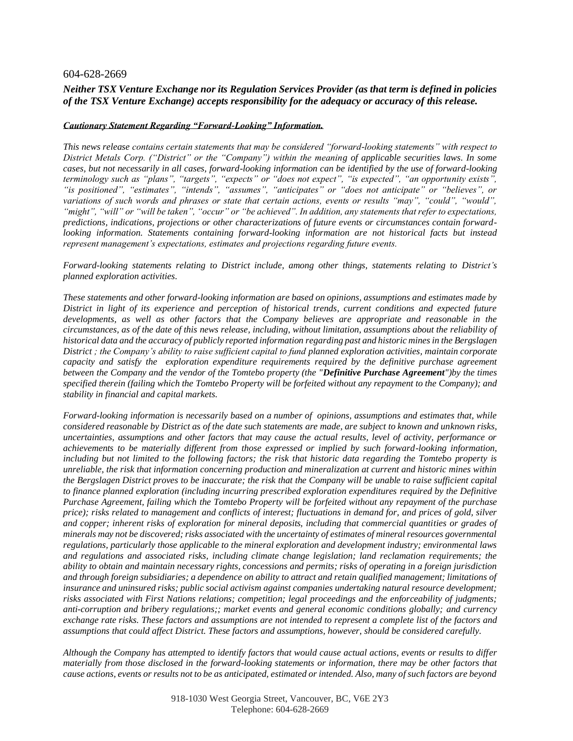#### 604-628-2669

#### *Neither TSX Venture Exchange nor its Regulation Services Provider (as that term is defined in policies of the TSX Venture Exchange) accepts responsibility for the adequacy or accuracy of this release.*

#### *Cautionary Statement Regarding "Forward-Looking" Information.*

*This news release contains certain statements that may be considered "forward-looking statements" with respect to District Metals Corp. ("District" or the "Company") within the meaning of applicable securities laws. In some cases, but not necessarily in all cases, forward-looking information can be identified by the use of forward-looking terminology such as "plans", "targets", "expects" or "does not expect", "is expected", "an opportunity exists", "is positioned", "estimates", "intends", "assumes", "anticipates" or "does not anticipate" or "believes", or variations of such words and phrases or state that certain actions, events or results "may", "could", "would", "might", "will" or "will be taken", "occur" or "be achieved". In addition, any statements that refer to expectations, predictions, indications, projections or other characterizations of future events or circumstances contain forwardlooking information. Statements containing forward-looking information are not historical facts but instead represent management's expectations, estimates and projections regarding future events.*

*Forward-looking statements relating to District include, among other things, statements relating to District's planned exploration activities.*

*These statements and other forward-looking information are based on opinions, assumptions and estimates made by District in light of its experience and perception of historical trends, current conditions and expected future developments, as well as other factors that the Company believes are appropriate and reasonable in the circumstances, as of the date of this news release, including, without limitation, assumptions about the reliability of historical data and the accuracy of publicly reported information regarding past and historic mines in the Bergslagen District ; the Company's ability to raise sufficient capital to fund planned exploration activities, maintain corporate capacity and satisfy the exploration expenditure requirements required by the definitive purchase agreement between the Company and the vendor of the Tomtebo property (the "Definitive Purchase Agreement")by the times specified therein (failing which the Tomtebo Property will be forfeited without any repayment to the Company); and stability in financial and capital markets.* 

*Forward-looking information is necessarily based on a number of opinions, assumptions and estimates that, while considered reasonable by District as of the date such statements are made, are subject to known and unknown risks, uncertainties, assumptions and other factors that may cause the actual results, level of activity, performance or achievements to be materially different from those expressed or implied by such forward-looking information, including but not limited to the following factors; the risk that historic data regarding the Tomtebo property is unreliable, the risk that information concerning production and mineralization at current and historic mines within the Bergslagen District proves to be inaccurate; the risk that the Company will be unable to raise sufficient capital to finance planned exploration (including incurring prescribed exploration expenditures required by the Definitive Purchase Agreement, failing which the Tomtebo Property will be forfeited without any repayment of the purchase price); risks related to management and conflicts of interest; fluctuations in demand for, and prices of gold, silver and copper; inherent risks of exploration for mineral deposits, including that commercial quantities or grades of minerals may not be discovered; risks associated with the uncertainty of estimates of mineral resources governmental regulations, particularly those applicable to the mineral exploration and development industry; environmental laws and regulations and associated risks, including climate change legislation; land reclamation requirements; the ability to obtain and maintain necessary rights, concessions and permits; risks of operating in a foreign jurisdiction and through foreign subsidiaries; a dependence on ability to attract and retain qualified management; limitations of insurance and uninsured risks; public social activism against companies undertaking natural resource development; risks associated with First Nations relations; competition; legal proceedings and the enforceability of judgments; anti-corruption and bribery regulations;; market events and general economic conditions globally; and currency exchange rate risks. These factors and assumptions are not intended to represent a complete list of the factors and assumptions that could affect District. These factors and assumptions, however, should be considered carefully.* 

*Although the Company has attempted to identify factors that would cause actual actions, events or results to differ materially from those disclosed in the forward-looking statements or information, there may be other factors that cause actions, events or results not to be as anticipated, estimated or intended. Also, many of such factors are beyond*